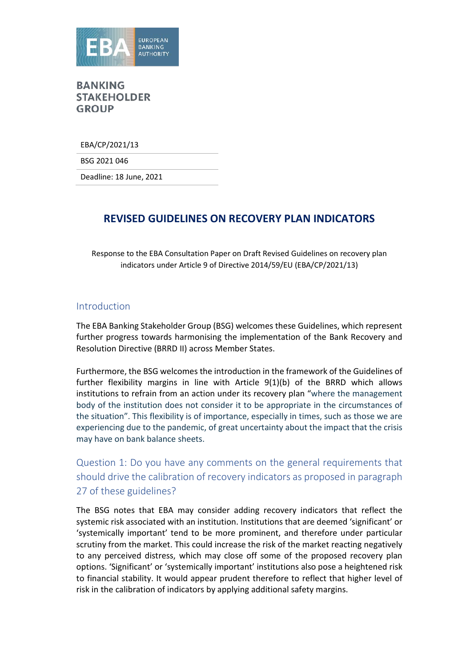

EBA/CP/2021/13

BSG 2021 046

Deadline: 18 June, 2021

# **REVISED GUIDELINES ON RECOVERY PLAN INDICATORS**

Response to the EBA Consultation Paper on Draft Revised Guidelines on recovery plan indicators under Article 9 of Directive 2014/59/EU (EBA/CP/2021/13)

#### Introduction

The EBA Banking Stakeholder Group (BSG) welcomes these Guidelines, which represent further progress towards harmonising the implementation of the Bank Recovery and Resolution Directive (BRRD II) across Member States.

Furthermore, the BSG welcomes the introduction in the framework of the Guidelines of further flexibility margins in line with Article 9(1)(b) of the BRRD which allows institutions to refrain from an action under its recovery plan "where the management body of the institution does not consider it to be appropriate in the circumstances of the situation". This flexibility is of importance, especially in times, such as those we are experiencing due to the pandemic, of great uncertainty about the impact that the crisis may have on bank balance sheets.

Question 1: Do you have any comments on the general requirements that should drive the calibration of recovery indicators as proposed in paragraph 27 of these guidelines?

The BSG notes that EBA may consider adding recovery indicators that reflect the systemic risk associated with an institution. Institutions that are deemed 'significant' or 'systemically important' tend to be more prominent, and therefore under particular scrutiny from the market. This could increase the risk of the market reacting negatively to any perceived distress, which may close off some of the proposed recovery plan options. 'Significant' or 'systemically important' institutions also pose a heightened risk to financial stability. It would appear prudent therefore to reflect that higher level of risk in the calibration of indicators by applying additional safety margins.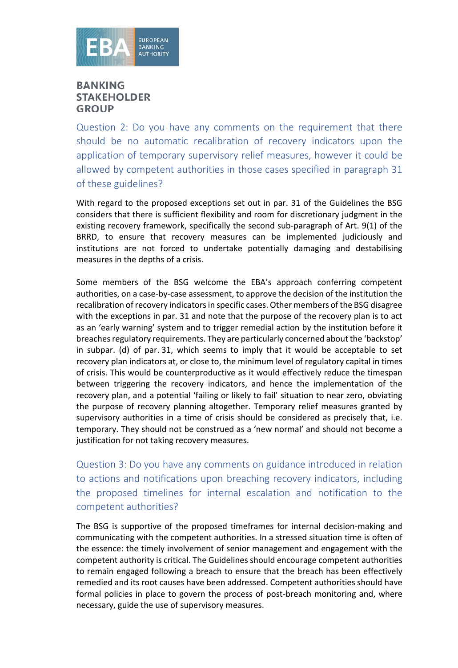

Question 2: Do you have any comments on the requirement that there should be no automatic recalibration of recovery indicators upon the application of temporary supervisory relief measures, however it could be allowed by competent authorities in those cases specified in paragraph 31 of these guidelines?

With regard to the proposed exceptions set out in par. 31 of the Guidelines the BSG considers that there is sufficient flexibility and room for discretionary judgment in the existing recovery framework, specifically the second sub-paragraph of Art. 9(1) of the BRRD, to ensure that recovery measures can be implemented judiciously and institutions are not forced to undertake potentially damaging and destabilising measures in the depths of a crisis.

Some members of the BSG welcome the EBA's approach conferring competent authorities, on a case-by-case assessment, to approve the decision of the institution the recalibration of recovery indicators in specific cases. Other members of the BSG disagree with the exceptions in par. 31 and note that the purpose of the recovery plan is to act as an 'early warning' system and to trigger remedial action by the institution before it breaches regulatory requirements. They are particularly concerned about the 'backstop' in subpar. (d) of par. 31, which seems to imply that it would be acceptable to set recovery plan indicators at, or close to, the minimum level of regulatory capital in times of crisis. This would be counterproductive as it would effectively reduce the timespan between triggering the recovery indicators, and hence the implementation of the recovery plan, and a potential 'failing or likely to fail' situation to near zero, obviating the purpose of recovery planning altogether. Temporary relief measures granted by supervisory authorities in a time of crisis should be considered as precisely that, i.e. temporary. They should not be construed as a 'new normal' and should not become a justification for not taking recovery measures.

Question 3: Do you have any comments on guidance introduced in relation to actions and notifications upon breaching recovery indicators, including the proposed timelines for internal escalation and notification to the competent authorities?

The BSG is supportive of the proposed timeframes for internal decision-making and communicating with the competent authorities. In a stressed situation time is often of the essence: the timely involvement of senior management and engagement with the competent authority is critical. The Guidelines should encourage competent authorities to remain engaged following a breach to ensure that the breach has been effectively remedied and its root causes have been addressed. Competent authorities should have formal policies in place to govern the process of post-breach monitoring and, where necessary, guide the use of supervisory measures.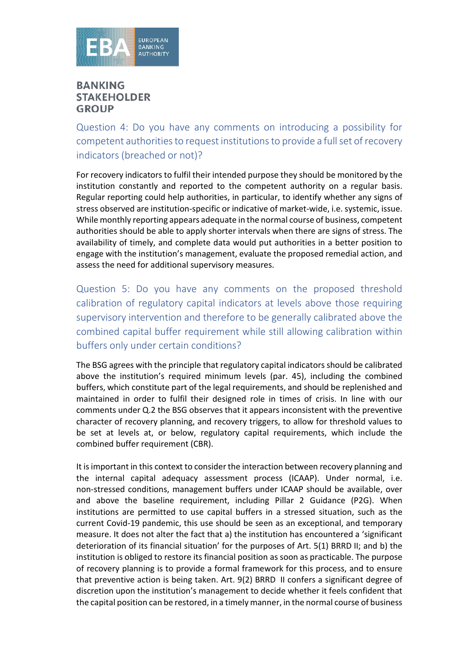

Question 4: Do you have any comments on introducing a possibility for competent authorities to request institutions to provide a full set of recovery indicators (breached or not)?

For recovery indicators to fulfil their intended purpose they should be monitored by the institution constantly and reported to the competent authority on a regular basis. Regular reporting could help authorities, in particular, to identify whether any signs of stress observed are institution-specific or indicative of market-wide, i.e. systemic, issue. While monthly reporting appears adequate in the normal course of business, competent authorities should be able to apply shorter intervals when there are signs of stress. The availability of timely, and complete data would put authorities in a better position to engage with the institution's management, evaluate the proposed remedial action, and assess the need for additional supervisory measures.

Question 5: Do you have any comments on the proposed threshold calibration of regulatory capital indicators at levels above those requiring supervisory intervention and therefore to be generally calibrated above the combined capital buffer requirement while still allowing calibration within buffers only under certain conditions?

The BSG agrees with the principle that regulatory capital indicators should be calibrated above the institution's required minimum levels (par. 45), including the combined buffers, which constitute part of the legal requirements, and should be replenished and maintained in order to fulfil their designed role in times of crisis. In line with our comments under Q.2 the BSG observes that it appears inconsistent with the preventive character of recovery planning, and recovery triggers, to allow for threshold values to be set at levels at, or below, regulatory capital requirements, which include the combined buffer requirement (CBR).

It is important in this context to consider the interaction between recovery planning and the internal capital adequacy assessment process (ICAAP). Under normal, i.e. non-stressed conditions, management buffers under ICAAP should be available, over and above the baseline requirement, including Pillar 2 Guidance (P2G). When institutions are permitted to use capital buffers in a stressed situation, such as the current Covid-19 pandemic, this use should be seen as an exceptional, and temporary measure. It does not alter the fact that a) the institution has encountered a 'significant deterioration of its financial situation' for the purposes of Art. 5(1) BRRD II; and b) the institution is obliged to restore its financial position as soon as practicable. The purpose of recovery planning is to provide a formal framework for this process, and to ensure that preventive action is being taken. Art. 9(2) BRRD II confers a significant degree of discretion upon the institution's management to decide whether it feels confident that the capital position can be restored, in a timely manner, in the normal course of business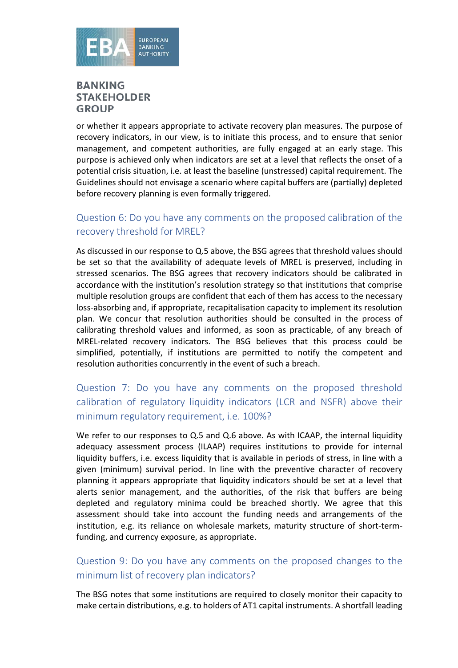

or whether it appears appropriate to activate recovery plan measures. The purpose of recovery indicators, in our view, is to initiate this process, and to ensure that senior management, and competent authorities, are fully engaged at an early stage. This purpose is achieved only when indicators are set at a level that reflects the onset of a potential crisis situation, i.e. at least the baseline (unstressed) capital requirement. The Guidelines should not envisage a scenario where capital buffers are (partially) depleted before recovery planning is even formally triggered.

## Question 6: Do you have any comments on the proposed calibration of the recovery threshold for MREL?

As discussed in our response to Q.5 above, the BSG agrees that threshold values should be set so that the availability of adequate levels of MREL is preserved, including in stressed scenarios. The BSG agrees that recovery indicators should be calibrated in accordance with the institution's resolution strategy so that institutions that comprise multiple resolution groups are confident that each of them has access to the necessary loss-absorbing and, if appropriate, recapitalisation capacity to implement its resolution plan. We concur that resolution authorities should be consulted in the process of calibrating threshold values and informed, as soon as practicable, of any breach of MREL-related recovery indicators. The BSG believes that this process could be simplified, potentially, if institutions are permitted to notify the competent and resolution authorities concurrently in the event of such a breach.

## Question 7: Do you have any comments on the proposed threshold calibration of regulatory liquidity indicators (LCR and NSFR) above their minimum regulatory requirement, i.e. 100%?

We refer to our responses to Q.5 and Q.6 above. As with ICAAP, the internal liquidity adequacy assessment process (ILAAP) requires institutions to provide for internal liquidity buffers, i.e. excess liquidity that is available in periods of stress, in line with a given (minimum) survival period. In line with the preventive character of recovery planning it appears appropriate that liquidity indicators should be set at a level that alerts senior management, and the authorities, of the risk that buffers are being depleted and regulatory minima could be breached shortly. We agree that this assessment should take into account the funding needs and arrangements of the institution, e.g. its reliance on wholesale markets, maturity structure of short-termfunding, and currency exposure, as appropriate.

### Question 9: Do you have any comments on the proposed changes to the minimum list of recovery plan indicators?

The BSG notes that some institutions are required to closely monitor their capacity to make certain distributions, e.g. to holders of AT1 capital instruments. A shortfall leading